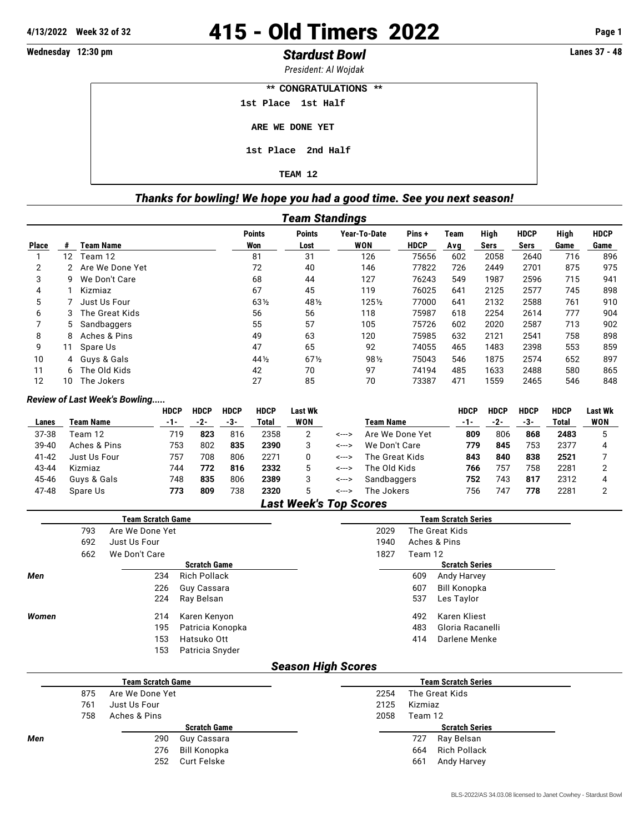# **4/13/2022 Week 32 of 32** 415 - Old Timers 2022 **Page 1**

## **Wednesday 12:30 pm** *Stardust Bowl* **Lanes 37 - 48**

*President: Al Wojdak* **\*\* CONGRATULATIONS \*\***

 **1st Place 1st Half**

 **ARE WE DONE YET**

 **1st Place 2nd Half**

 **TEAM 12**

## *Thanks for bowling! We hope you had a good time. See you next season!*

| Team Standings                                                                          |    |                  |                 |                 |            |             |     |      |      |      |      |  |
|-----------------------------------------------------------------------------------------|----|------------------|-----------------|-----------------|------------|-------------|-----|------|------|------|------|--|
| <b>Points</b><br><b>Points</b><br>High<br><b>HDCP</b><br>Year-To-Date<br>Pins +<br>Team |    |                  |                 |                 |            |             |     |      |      |      |      |  |
| <b>Place</b>                                                                            |    | <b>Team Name</b> | Won             | Lost            | <b>WON</b> | <b>HDCP</b> | Avg | Sers | Sers | Game | Game |  |
|                                                                                         | 12 | Team 12          | 81              | 31              | 126        | 75656       | 602 | 2058 | 2640 | 716  | 896  |  |
| $\overline{2}$                                                                          | 2  | Are We Done Yet  | 72              | 40              | 146        | 77822       | 726 | 2449 | 2701 | 875  | 975  |  |
| 3                                                                                       | 9  | We Don't Care    | 68              | 44              | 127        | 76243       | 549 | 1987 | 2596 | 715  | 941  |  |
| 4                                                                                       |    | Kizmiaz          | 67              | 45              | 119        | 76025       | 641 | 2125 | 2577 | 745  | 898  |  |
| 5                                                                                       |    | Just Us Four     | 63 <sub>2</sub> | 481/2           | $125\%$    | 77000       | 641 | 2132 | 2588 | 761  | 910  |  |
| 6                                                                                       | 3  | The Great Kids   | 56              | 56              | 118        | 75987       | 618 | 2254 | 2614 | 777  | 904  |  |
|                                                                                         | 5. | Sandbaggers      | 55              | 57              | 105        | 75726       | 602 | 2020 | 2587 | 713  | 902  |  |
| 8                                                                                       | 8  | Aches & Pins     | 49              | 63              | 120        | 75985       | 632 | 2121 | 2541 | 758  | 898  |  |
| 9                                                                                       | 11 | Spare Us         | 47              | 65              | 92         | 74055       | 465 | 1483 | 2398 | 553  | 859  |  |
| 10                                                                                      |    | 4 Guys & Gals    | 44 1/2          | 67 <sub>2</sub> | 981/2      | 75043       | 546 | 1875 | 2574 | 652  | 897  |  |
| 11                                                                                      | 6. | The Old Kids     | 42              | 70              | 97         | 74194       | 485 | 1633 | 2488 | 580  | 865  |  |
| 12                                                                                      | 10 | The Jokers       | 27              | 85              | 70         | 73387       | 471 | 1559 | 2465 | 546  | 848  |  |

#### *Review of Last Week's Bowling.....*

|         |              | <b>HDCP</b> | <b>HDCP</b> | <b>HDCP</b> | <b>HDCP</b> | Last Wk        |               |                  | <b>HDCP</b> | <b>HDCP</b> | <b>HDCP</b> | <b>HDCP</b> | Last Wk |
|---------|--------------|-------------|-------------|-------------|-------------|----------------|---------------|------------------|-------------|-------------|-------------|-------------|---------|
| Lanes   | Team Name    | $-1-$       | -2-         | -3-         | Total       | WON            |               | <b>Team Name</b> | $-1-$       | -2-         | -3-         | Total       | WON     |
| 37-38   | Feam 12      | 719         | 823         | 816         | 2358        |                | <--->         | Are We Done Yet  | 809         | 806         | 868         | 2483        |         |
| $39-40$ | Aches & Pins | 753         | 802         | 835         | 2390        | 3              | <--->         | We Don't Care    | 779         | 845         | 753         | 2377        |         |
| 41-42   | Just Us Four | 757         | 708         | 806         | 2271        |                | <--->         | The Great Kids   | 843         | 840         | 838         | 2521        |         |
| 43-44   | Kizmiaz      | 744         | 772         | 816         | 2332        | 5              | <--->         | The Old Kids     | 766         | 757         | 758         | 2281        |         |
| 45-46   | Guys & Gals  | 748         | 835         | 806         | 2389        |                | <--->         | Sandbaggers      | 752         | 743         | 817         | 2312        |         |
| 47-48   | Spare Us     | 773         | 809         | 738         | 2320        | 5              | <--->         | The Jokers       | 756         | 747         | 778         | 2281        |         |
|         |              |             |             |             |             | . .<br>- - - - | $\rightarrow$ |                  |             |             |             |             |         |

#### *Last Week's Top Scores*

|       |     | <b>Team Scratch Game</b> |                     | <b>Team Scratch Series</b> |         |                       |  |  |  |  |  |
|-------|-----|--------------------------|---------------------|----------------------------|---------|-----------------------|--|--|--|--|--|
|       | 793 | Are We Done Yet          |                     | 2029                       |         | The Great Kids        |  |  |  |  |  |
|       | 692 | Just Us Four             |                     | 1940                       |         | Aches & Pins          |  |  |  |  |  |
|       | 662 | We Don't Care            |                     | 1827                       | Team 12 |                       |  |  |  |  |  |
|       |     |                          | <b>Scratch Game</b> |                            |         | <b>Scratch Series</b> |  |  |  |  |  |
| Men   |     | 234                      | <b>Rich Pollack</b> |                            | 609     | Andy Harvey           |  |  |  |  |  |
|       |     | 226                      | Guy Cassara         |                            | 607     | <b>Bill Konopka</b>   |  |  |  |  |  |
|       |     | 224                      | Ray Belsan          |                            | 537     | Les Taylor            |  |  |  |  |  |
| Women |     | 214                      | Karen Kenyon        |                            | 492     | Karen Kliest          |  |  |  |  |  |
|       |     | 195                      | Patricia Konopka    |                            | 483     | Gloria Racanelli      |  |  |  |  |  |
|       |     | 153                      | Hatsuko Ott         |                            | 414     | Darlene Menke         |  |  |  |  |  |
|       |     | 153                      | Patricia Snyder     |                            |         |                       |  |  |  |  |  |

### *Season High Scores*

|     |     | <b>Team Scratch Game</b> | <b>Team Scratch Series</b> |
|-----|-----|--------------------------|----------------------------|
|     | 875 | Are We Done Yet          | 2254<br>The Great Kids     |
|     | 761 | Just Us Four             | 2125<br>Kizmiaz            |
|     | 758 | Aches & Pins             | 2058<br>Team 12            |
|     |     | <b>Scratch Game</b>      | <b>Scratch Series</b>      |
| Men |     | 290<br>Guy Cassara       | Ray Belsan<br>727          |
|     |     | Bill Konopka<br>276      | <b>Rich Pollack</b><br>664 |
|     |     | Curt Felske<br>252       | Andy Harvey<br>661         |
|     |     |                          |                            |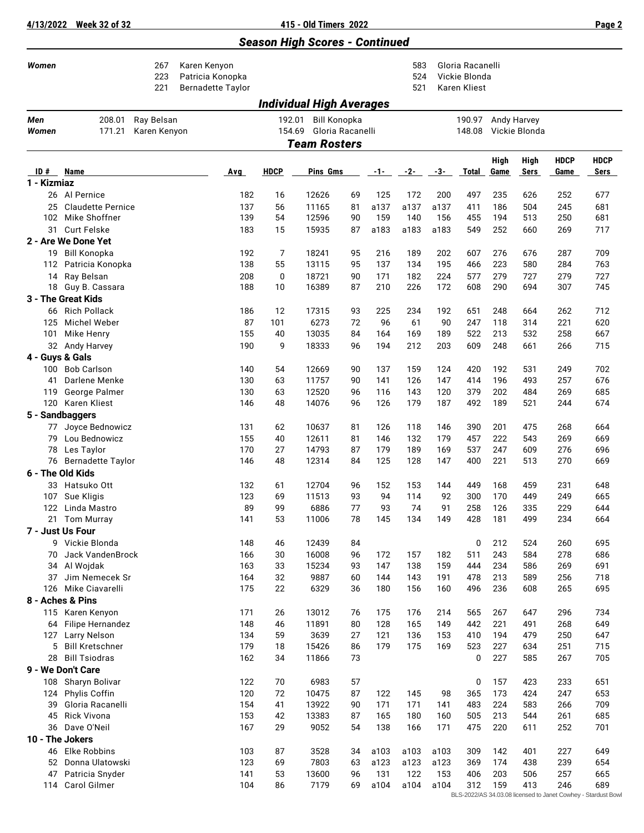**4/13/2022 Week 32 of 32 415 - Old Timers 2022 Page 2**

## *Season High Scores - Continued*

| Women                  |                                   | 267<br>223<br>221          | Karen Kenyon<br>Patricia Konopka<br><b>Bernadette Taylor</b> |             |                                                             |          |             | 583<br>524<br>521 |             | Gloria Racanelli<br>Vickie Blonda<br>Karen Kliest |            |               |             |             |
|------------------------|-----------------------------------|----------------------------|--------------------------------------------------------------|-------------|-------------------------------------------------------------|----------|-------------|-------------------|-------------|---------------------------------------------------|------------|---------------|-------------|-------------|
|                        |                                   |                            |                                                              |             | Individual High Averages                                    |          |             |                   |             |                                                   |            |               |             |             |
| Men<br>Women           | 208.01<br>171.21                  | Ray Belsan<br>Karen Kenyon |                                                              |             | <b>Bill Konopka</b><br>192.01<br>Gloria Racanelli<br>154.69 |          |             |                   |             | 190.97 Andy Harvey<br>148.08                      |            | Vickie Blonda |             |             |
|                        |                                   |                            |                                                              |             | <b>Team Rosters</b>                                         |          |             |                   |             |                                                   |            |               |             |             |
|                        |                                   |                            |                                                              |             |                                                             |          |             |                   |             |                                                   | High       | High          | <b>HDCP</b> | <b>HDCP</b> |
| ID#<br>1 - Kizmiaz     | Name                              |                            | Avg                                                          | <b>HDCP</b> | Pins Gms                                                    |          | -1-         | $-2-$             | -3-         | <b>Total</b>                                      | Game       | Sers          | Game        | Sers        |
|                        | 26 Al Pernice                     |                            | 182                                                          | 16          | 12626                                                       | 69       | 125         | 172               | 200         | 497                                               | 235        | 626           | 252         | 677         |
| 25                     | <b>Claudette Pernice</b>          |                            | 137                                                          | 56          | 11165                                                       | 81       | a137        | a137              | a137        | 411                                               | 186        | 504           | 245         | 681         |
|                        | 102 Mike Shoffner                 |                            | 139                                                          | 54          | 12596                                                       | 90       | 159         | 140               | 156         | 455                                               | 194        | 513           | 250         | 681         |
| 31                     | <b>Curt Felske</b>                |                            | 183                                                          | 15          | 15935                                                       | 87       | a183        | a183              | a183        | 549                                               | 252        | 660           | 269         | 717         |
|                        | 2 - Are We Done Yet               |                            |                                                              |             |                                                             |          |             |                   |             |                                                   |            |               |             |             |
| 19                     | <b>Bill Konopka</b>               |                            | 192                                                          | 7           | 18241                                                       | 95       | 216         | 189               | 202         | 607                                               | 276        | 676           | 287         | 709         |
| 112                    | Patricia Konopka                  |                            | 138                                                          | 55          | 13115                                                       | 95       | 137         | 134               | 195         | 466                                               | 223        | 580           | 284         | 763         |
| 14                     | Ray Belsan                        |                            | 208                                                          | 0           | 18721                                                       | 90       | 171         | 182               | 224         | 577                                               | 279        | 727           | 279         | 727         |
| 18                     | Guy B. Cassara                    |                            | 188                                                          | 10          | 16389                                                       | 87       | 210         | 226               | 172         | 608                                               | 290        | 694           | 307         | 745         |
|                        | 3 - The Great Kids                |                            |                                                              |             |                                                             |          |             |                   |             |                                                   |            |               |             |             |
| 66                     | <b>Rich Pollack</b>               |                            | 186                                                          | 12          | 17315                                                       | 93       | 225         | 234               | 192         | 651                                               | 248        | 664           | 262         | 712         |
| 125                    | Michel Weber                      |                            | 87                                                           | 101         | 6273                                                        | 72       | 96          | 61                | 90          | 247                                               | 118        | 314           | 221         | 620         |
| 101                    | Mike Henry                        |                            | 155                                                          | 40          | 13035                                                       | 84       | 164         | 169               | 189         | 522                                               | 213        | 532           | 258         | 667         |
|                        | 32 Andy Harvey                    |                            | 190                                                          | 9           | 18333                                                       | 96       | 194         | 212               | 203         | 609                                               | 248        | 661           | 266         | 715         |
| 4 - Guys & Gals<br>100 | <b>Bob Carlson</b>                |                            | 140                                                          | 54          | 12669                                                       | 90       | 137         | 159               | 124         | 420                                               | 192        | 531           | 249         | 702         |
| 41                     | Darlene Menke                     |                            | 130                                                          | 63          | 11757                                                       | 90       | 141         | 126               | 147         | 414                                               | 196        | 493           | 257         | 676         |
| 119                    | George Palmer                     |                            | 130                                                          | 63          | 12520                                                       | 96       | 116         | 143               | 120         | 379                                               | 202        | 484           | 269         | 685         |
|                        | 120 Karen Kliest                  |                            | 146                                                          | 48          | 14076                                                       | 96       | 126         | 179               | 187         | 492                                               | 189        | 521           | 244         | 674         |
|                        | 5 - Sandbaggers                   |                            |                                                              |             |                                                             |          |             |                   |             |                                                   |            |               |             |             |
| 77                     | Joyce Bednowicz                   |                            | 131                                                          | 62          | 10637                                                       | 81       | 126         | 118               | 146         | 390                                               | 201        | 475           | 268         | 664         |
| 79                     | Lou Bednowicz                     |                            | 155                                                          | 40          | 12611                                                       | 81       | 146         | 132               | 179         | 457                                               | 222        | 543           | 269         | 669         |
| 78                     | Les Taylor                        |                            | 170                                                          | 27          | 14793                                                       | 87       | 179         | 189               | 169         | 537                                               | 247        | 609           | 276         | 696         |
| 76                     | <b>Bernadette Taylor</b>          |                            | 146                                                          | 48          | 12314                                                       | 84       | 125         | 128               | 147         | 400                                               | 221        | 513           | 270         | 669         |
|                        | 6 - The Old Kids                  |                            |                                                              |             |                                                             |          |             |                   |             |                                                   |            |               |             |             |
|                        | 33 Hatsuko Ott                    |                            | 132                                                          | 61          | 12704                                                       | 96       | 152         | 153               | 144         | 449                                               | 168        | 459           | 231         | 648         |
| 107                    | Sue Kligis                        |                            | 123                                                          | 69          | 11513                                                       | 93       | 94          | 114               | 92          | 300                                               | 170        | 449           | 249         | 665         |
| 122                    | Linda Mastro                      |                            | 89                                                           | 99          | 6886                                                        | 77       | 93          | 74                | 91          | 258                                               | 126        | 335           | 229         | 644         |
|                        | 21 Tom Murray                     |                            | 141                                                          | 53          | 11006                                                       | 78       | 145         | 134               | 149         | 428                                               | 181        | 499           | 234         | 664         |
|                        | 7 - Just Us Four                  |                            |                                                              |             |                                                             |          |             |                   |             |                                                   |            |               |             |             |
|                        | 9 Vickie Blonda                   |                            | 148                                                          | 46          | 12439                                                       | 84       |             |                   |             | 0                                                 | 212        | 524           | 260         | 695         |
| 70                     | Jack VandenBrock                  |                            | 166<br>163                                                   | 30<br>33    | 16008<br>15234                                              | 96<br>93 | 172<br>147  | 157<br>138        | 182<br>159  | 511<br>444                                        | 243<br>234 | 584<br>586    | 278<br>269  | 686<br>691  |
|                        | 34 Al Wojdak<br>37 Jim Nemecek Sr |                            | 164                                                          | 32          | 9887                                                        | 60       | 144         | 143               | 191         | 478                                               | 213        | 589           | 256         | 718         |
|                        | 126 Mike Ciavarelli               |                            | 175                                                          | 22          | 6329                                                        | 36       | 180         | 156               | 160         | 496                                               | 236        | 608           | 265         | 695         |
|                        | 8 - Aches & Pins                  |                            |                                                              |             |                                                             |          |             |                   |             |                                                   |            |               |             |             |
|                        | 115 Karen Kenyon                  |                            | 171                                                          | 26          | 13012                                                       | 76       | 175         | 176               | 214         | 565                                               | 267        | 647           | 296         | 734         |
| 64                     | Filipe Hernandez                  |                            | 148                                                          | 46          | 11891                                                       | 80       | 128         | 165               | 149         | 442                                               | 221        | 491           | 268         | 649         |
| 127                    | Larry Nelson                      |                            | 134                                                          | 59          | 3639                                                        | 27       | 121         | 136               | 153         | 410                                               | 194        | 479           | 250         | 647         |
| 5                      | <b>Bill Kretschner</b>            |                            | 179                                                          | 18          | 15426                                                       | 86       | 179         | 175               | 169         | 523                                               | 227        | 634           | 251         | 715         |
| 28                     | <b>Bill Tsiodras</b>              |                            | 162                                                          | 34          | 11866                                                       | 73       |             |                   |             | 0                                                 | 227        | 585           | 267         | 705         |
|                        | 9 - We Don't Care                 |                            |                                                              |             |                                                             |          |             |                   |             |                                                   |            |               |             |             |
| 108                    | Sharyn Bolivar                    |                            | 122                                                          | 70          | 6983                                                        | 57       |             |                   |             | 0                                                 | 157        | 423           | 233         | 651         |
| 124                    | Phylis Coffin                     |                            | 120                                                          | 72          | 10475                                                       | 87       | 122         | 145               | 98          | 365                                               | 173        | 424           | 247         | 653         |
| 39                     | Gloria Racanelli                  |                            | 154                                                          | 41          | 13922                                                       | 90       | 171         | 171               | 141         | 483                                               | 224        | 583           | 266         | 709         |
| 45                     | Rick Vivona                       |                            | 153                                                          | 42          | 13383                                                       | 87       | 165         | 180               | 160         | 505                                               | 213        | 544           | 261         | 685         |
| 36                     | Dave O'Neil                       |                            | 167                                                          | 29          | 9052                                                        | 54       | 138         | 166               | 171         | 475                                               | 220        | 611           | 252         | 701         |
|                        | 10 - The Jokers                   |                            |                                                              |             |                                                             |          |             |                   |             |                                                   |            |               |             |             |
| 46                     | <b>Elke Robbins</b>               |                            | 103                                                          | 87          | 3528                                                        | 34       | a103        | a103              | a103        | 309                                               | 142        | 401           | 227         | 649         |
| 52                     | Donna Ulatowski                   |                            | 123<br>141                                                   | 69          | 7803                                                        | 63       | a123<br>131 | a123<br>122       | a123        | 369                                               | 174<br>203 | 438           | 239         | 654         |
| 47<br>114              | Patricia Snyder<br>Carol Gilmer   |                            | 104                                                          | 53<br>86    | 13600<br>7179                                               | 96<br>69 | a104        | a104              | 153<br>a104 | 406<br>312                                        | 159        | 506<br>413    | 257<br>246  | 665<br>689  |
|                        |                                   |                            |                                                              |             |                                                             |          |             |                   |             |                                                   |            |               |             |             |